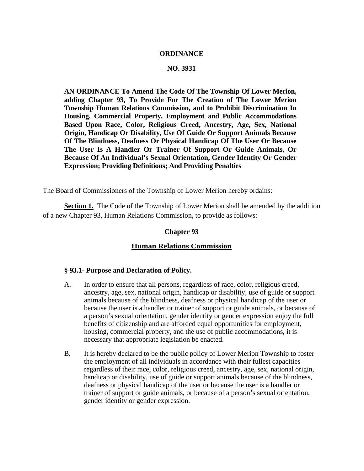### **ORDINANCE**

## **NO. 3931**

**AN ORDINANCE To Amend The Code Of The Township Of Lower Merion, adding Chapter 93, To Provide For The Creation of The Lower Merion Township Human Relations Commission, and to Prohibit Discrimination In Housing, Commercial Property, Employment and Public Accommodations Based Upon Race, Color, Religious Creed, Ancestry, Age, Sex, National Origin, Handicap Or Disability, Use Of Guide Or Support Animals Because Of The Blindness, Deafness Or Physical Handicap Of The User Or Because The User Is A Handler Or Trainer Of Support Or Guide Animals, Or Because Of An Individual's Sexual Orientation, Gender Identity Or Gender Expression; Providing Definitions; And Providing Penalties** 

The Board of Commissioners of the Township of Lower Merion hereby ordains:

**Section 1.** The Code of the Township of Lower Merion shall be amended by the addition of a new Chapter 93, Human Relations Commission, to provide as follows:

#### **Chapter 93**

#### **Human Relations Commission**

#### **§ 93.1- Purpose and Declaration of Policy.**

- A. In order to ensure that all persons, regardless of race, color, religious creed, ancestry, age, sex, national origin, handicap or disability, use of guide or support animals because of the blindness, deafness or physical handicap of the user or because the user is a handler or trainer of support or guide animals, or because of a person's sexual orientation, gender identity or gender expression enjoy the full benefits of citizenship and are afforded equal opportunities for employment, housing, commercial property, and the use of public accommodations, it is necessary that appropriate legislation be enacted.
- B. It is hereby declared to be the public policy of Lower Merion Township to foster the employment of all individuals in accordance with their fullest capacities regardless of their race, color, religious creed, ancestry, age, sex, national origin, handicap or disability, use of guide or support animals because of the blindness, deafness or physical handicap of the user or because the user is a handler or trainer of support or guide animals, or because of a person's sexual orientation, gender identity or gender expression.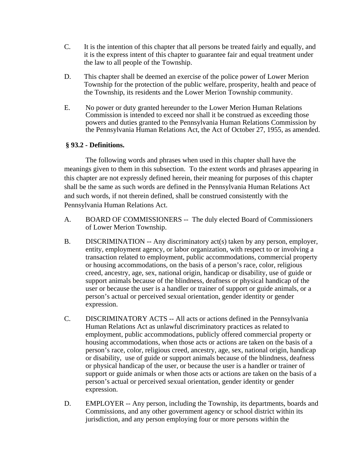- C. It is the intention of this chapter that all persons be treated fairly and equally, and it is the express intent of this chapter to guarantee fair and equal treatment under the law to all people of the Township.
- D. This chapter shall be deemed an exercise of the police power of Lower Merion Township for the protection of the public welfare, prosperity, health and peace of the Township, its residents and the Lower Merion Township community.
- E. No power or duty granted hereunder to the Lower Merion Human Relations Commission is intended to exceed nor shall it be construed as exceeding those powers and duties granted to the Pennsylvania Human Relations Commission by the Pennsylvania Human Relations Act, the Act of October 27, 1955, as amended.

## **§ 93.2 - Definitions.**

The following words and phrases when used in this chapter shall have the meanings given to them in this subsection. To the extent words and phrases appearing in this chapter are not expressly defined herein, their meaning for purposes of this chapter shall be the same as such words are defined in the Pennsylvania Human Relations Act and such words, if not therein defined, shall be construed consistently with the Pennsylvania Human Relations Act.

- A. BOARD OF COMMISSIONERS -- The duly elected Board of Commissioners of Lower Merion Township.
- B. DISCRIMINATION -- Any discriminatory act(s) taken by any person, employer, entity, employment agency, or labor organization, with respect to or involving a transaction related to employment, public accommodations, commercial property or housing accommodations, on the basis of a person's race, color, religious creed, ancestry, age, sex, national origin, handicap or disability, use of guide or support animals because of the blindness, deafness or physical handicap of the user or because the user is a handler or trainer of support or guide animals, or a person's actual or perceived sexual orientation, gender identity or gender expression.
- C. DISCRIMINATORY ACTS -- All acts or actions defined in the Pennsylvania Human Relations Act as unlawful discriminatory practices as related to employment, public accommodations, publicly offered commercial property or housing accommodations, when those acts or actions are taken on the basis of a person's race, color, religious creed, ancestry, age, sex, national origin, handicap or disability, use of guide or support animals because of the blindness, deafness or physical handicap of the user, or because the user is a handler or trainer of support or guide animals or when those acts or actions are taken on the basis of a person's actual or perceived sexual orientation, gender identity or gender expression.
- D. EMPLOYER -- Any person, including the Township, its departments, boards and Commissions, and any other government agency or school district within its jurisdiction, and any person employing four or more persons within the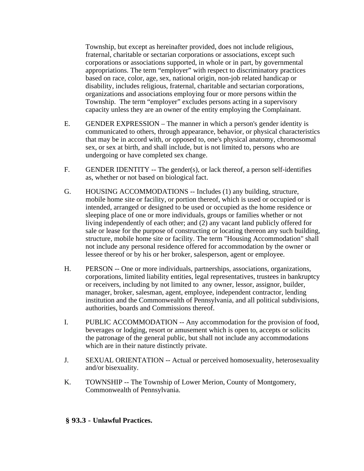Township, but except as hereinafter provided, does not include religious, fraternal, charitable or sectarian corporations or associations, except such corporations or associations supported, in whole or in part, by governmental appropriations. The term "employer" with respect to discriminatory practices based on race, color, age, sex, national origin, non-job related handicap or disability, includes religious, fraternal, charitable and sectarian corporations, organizations and associations employing four or more persons within the Township. The term "employer" excludes persons acting in a supervisory capacity unless they are an owner of the entity employing the Complainant.

- E. GENDER EXPRESSION The manner in which a person's gender identity is communicated to others, through appearance, behavior, or physical characteristics that may be in accord with, or opposed to, one's physical anatomy, chromosomal sex, or sex at birth, and shall include, but is not limited to, persons who are undergoing or have completed sex change.
- F. GENDER IDENTITY -- The gender(s), or lack thereof, a person self-identifies as, whether or not based on biological fact.
- G. HOUSING ACCOMMODATIONS -- Includes (1) any building, structure, mobile home site or facility, or portion thereof, which is used or occupied or is intended, arranged or designed to be used or occupied as the home residence or sleeping place of one or more individuals, groups or families whether or not living independently of each other; and (2) any vacant land publicly offered for sale or lease for the purpose of constructing or locating thereon any such building, structure, mobile home site or facility. The term "Housing Accommodation" shall not include any personal residence offered for accommodation by the owner or lessee thereof or by his or her broker, salesperson, agent or employee.
- H. PERSON -- One or more individuals, partnerships, associations, organizations, corporations, limited liability entities, legal representatives, trustees in bankruptcy or receivers, including by not limited to any owner, lessor, assignor, builder, manager, broker, salesman, agent, employee, independent contractor, lending institution and the Commonwealth of Pennsylvania, and all political subdivisions, authorities, boards and Commissions thereof.
- I. PUBLIC ACCOMMODATION -- Any accommodation for the provision of food, beverages or lodging, resort or amusement which is open to, accepts or solicits the patronage of the general public, but shall not include any accommodations which are in their nature distinctly private.
- J. SEXUAL ORIENTATION -- Actual or perceived homosexuality, heterosexuality and/or bisexuality.
- K. TOWNSHIP -- The Township of Lower Merion, County of Montgomery, Commonwealth of Pennsylvania.

## **§ 93.3 - Unlawful Practices.**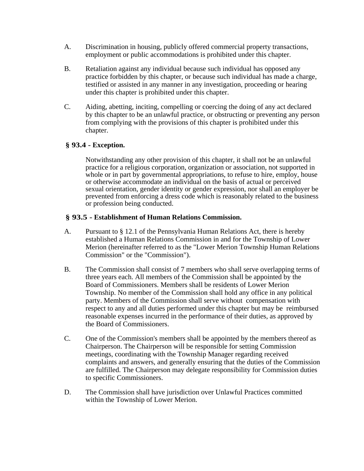- A. Discrimination in housing, publicly offered commercial property transactions, employment or public accommodations is prohibited under this chapter.
- B. Retaliation against any individual because such individual has opposed any practice forbidden by this chapter, or because such individual has made a charge, testified or assisted in any manner in any investigation, proceeding or hearing under this chapter is prohibited under this chapter.
- C. Aiding, abetting, inciting, compelling or coercing the doing of any act declared by this chapter to be an unlawful practice, or obstructing or preventing any person from complying with the provisions of this chapter is prohibited under this chapter.

## **§ 93.4 - Exception.**

Notwithstanding any other provision of this chapter, it shall not be an unlawful practice for a religious corporation, organization or association, not supported in whole or in part by governmental appropriations, to refuse to hire, employ, house or otherwise accommodate an individual on the basis of actual or perceived sexual orientation, gender identity or gender expression, nor shall an employer be prevented from enforcing a dress code which is reasonably related to the business or profession being conducted.

## **§ 93.5 - Establishment of Human Relations Commission.**

- A. Pursuant to § 12.1 of the Pennsylvania Human Relations Act, there is hereby established a Human Relations Commission in and for the Township of Lower Merion (hereinafter referred to as the "Lower Merion Township Human Relations Commission" or the "Commission").
- B. The Commission shall consist of 7 members who shall serve overlapping terms of three years each. All members of the Commission shall be appointed by the Board of Commissioners. Members shall be residents of Lower Merion Township. No member of the Commission shall hold any office in any political party. Members of the Commission shall serve without compensation with respect to any and all duties performed under this chapter but may be reimbursed reasonable expenses incurred in the performance of their duties, as approved by the Board of Commissioners.
- C. One of the Commission's members shall be appointed by the members thereof as Chairperson. The Chairperson will be responsible for setting Commission meetings, coordinating with the Township Manager regarding received complaints and answers, and generally ensuring that the duties of the Commission are fulfilled. The Chairperson may delegate responsibility for Commission duties to specific Commissioners.
- D. The Commission shall have jurisdiction over Unlawful Practices committed within the Township of Lower Merion.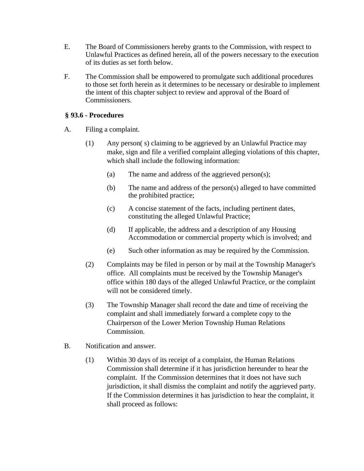- E. The Board of Commissioners hereby grants to the Commission, with respect to Unlawful Practices as defined herein, all of the powers necessary to the execution of its duties as set forth below.
- F. The Commission shall be empowered to promulgate such additional procedures to those set forth herein as it determines to be necessary or desirable to implement the intent of this chapter subject to review and approval of the Board of Commissioners.

# **§ 93.6 - Procedures**

- A. Filing a complaint.
	- (1) Any person( s) claiming to be aggrieved by an Unlawful Practice may make, sign and file a verified complaint alleging violations of this chapter, which shall include the following information:
		- (a) The name and address of the aggrieved person(s);
		- (b) The name and address of the person(s) alleged to have committed the prohibited practice;
		- (c) A concise statement of the facts, including pertinent dates, constituting the alleged Unlawful Practice;
		- (d) If applicable, the address and a description of any Housing Accommodation or commercial property which is involved; and
		- (e) Such other information as may be required by the Commission.
	- (2) Complaints may be filed in person or by mail at the Township Manager's office. All complaints must be received by the Township Manager's office within 180 days of the alleged Unlawful Practice, or the complaint will not be considered timely.
	- (3) The Township Manager shall record the date and time of receiving the complaint and shall immediately forward a complete copy to the Chairperson of the Lower Merion Township Human Relations Commission.
- B. Notification and answer.
	- (1) Within 30 days of its receipt of a complaint, the Human Relations Commission shall determine if it has jurisdiction hereunder to hear the complaint. If the Commission determines that it does not have such jurisdiction, it shall dismiss the complaint and notify the aggrieved party. If the Commission determines it has jurisdiction to hear the complaint, it shall proceed as follows: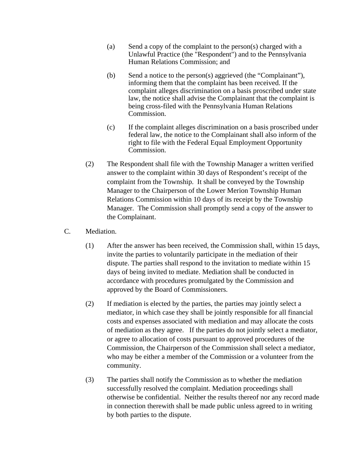- (a) Send a copy of the complaint to the person(s) charged with a Unlawful Practice (the "Respondent") and to the Pennsylvania Human Relations Commission; and
- (b) Send a notice to the person(s) aggrieved (the "Complainant"), informing them that the complaint has been received. If the complaint alleges discrimination on a basis proscribed under state law, the notice shall advise the Complainant that the complaint is being cross-filed with the Pennsylvania Human Relations Commission.
- (c) If the complaint alleges discrimination on a basis proscribed under federal law, the notice to the Complainant shall also inform of the right to file with the Federal Equal Employment Opportunity Commission.
- (2) The Respondent shall file with the Township Manager a written verified answer to the complaint within 30 days of Respondent's receipt of the complaint from the Township. It shall be conveyed by the Township Manager to the Chairperson of the Lower Merion Township Human Relations Commission within 10 days of its receipt by the Township Manager. The Commission shall promptly send a copy of the answer to the Complainant.
- C. Mediation.
	- (1) After the answer has been received, the Commission shall, within 15 days, invite the parties to voluntarily participate in the mediation of their dispute. The parties shall respond to the invitation to mediate within 15 days of being invited to mediate. Mediation shall be conducted in accordance with procedures promulgated by the Commission and approved by the Board of Commissioners.
	- (2) If mediation is elected by the parties, the parties may jointly select a mediator, in which case they shall be jointly responsible for all financial costs and expenses associated with mediation and may allocate the costs of mediation as they agree. If the parties do not jointly select a mediator, or agree to allocation of costs pursuant to approved procedures of the Commission, the Chairperson of the Commission shall select a mediator, who may be either a member of the Commission or a volunteer from the community.
	- (3) The parties shall notify the Commission as to whether the mediation successfully resolved the complaint. Mediation proceedings shall otherwise be confidential. Neither the results thereof nor any record made in connection therewith shall be made public unless agreed to in writing by both parties to the dispute.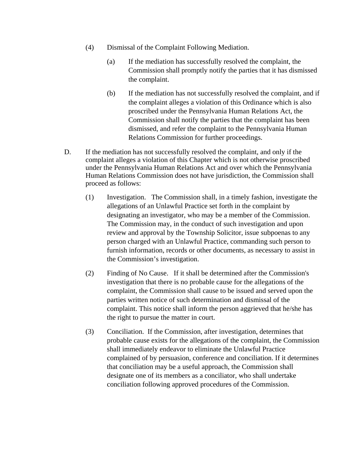- (4) Dismissal of the Complaint Following Mediation.
	- (a) If the mediation has successfully resolved the complaint, the Commission shall promptly notify the parties that it has dismissed the complaint.
	- (b) If the mediation has not successfully resolved the complaint, and if the complaint alleges a violation of this Ordinance which is also proscribed under the Pennsylvania Human Relations Act, the Commission shall notify the parties that the complaint has been dismissed, and refer the complaint to the Pennsylvania Human Relations Commission for further proceedings.
- D. If the mediation has not successfully resolved the complaint, and only if the complaint alleges a violation of this Chapter which is not otherwise proscribed under the Pennsylvania Human Relations Act and over which the Pennsylvania Human Relations Commission does not have jurisdiction, the Commission shall proceed as follows:
	- (1) Investigation. The Commission shall, in a timely fashion, investigate the allegations of an Unlawful Practice set forth in the complaint by designating an investigator, who may be a member of the Commission. The Commission may, in the conduct of such investigation and upon review and approval by the Township Solicitor, issue subpoenas to any person charged with an Unlawful Practice, commanding such person to furnish information, records or other documents, as necessary to assist in the Commission's investigation.
	- (2) Finding of No Cause. If it shall be determined after the Commission's investigation that there is no probable cause for the allegations of the complaint, the Commission shall cause to be issued and served upon the parties written notice of such determination and dismissal of the complaint. This notice shall inform the person aggrieved that he/she has the right to pursue the matter in court.
	- (3) Conciliation. If the Commission, after investigation, determines that probable cause exists for the allegations of the complaint, the Commission shall immediately endeavor to eliminate the Unlawful Practice complained of by persuasion, conference and conciliation. If it determines that conciliation may be a useful approach, the Commission shall designate one of its members as a conciliator, who shall undertake conciliation following approved procedures of the Commission.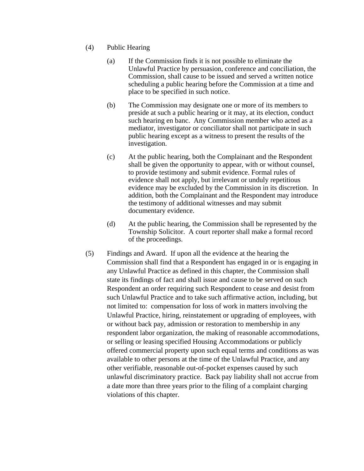- (4) Public Hearing
	- (a) If the Commission finds it is not possible to eliminate the Unlawful Practice by persuasion, conference and conciliation, the Commission, shall cause to be issued and served a written notice scheduling a public hearing before the Commission at a time and place to be specified in such notice.
	- (b) The Commission may designate one or more of its members to preside at such a public hearing or it may, at its election, conduct such hearing en banc. Any Commission member who acted as a mediator, investigator or conciliator shall not participate in such public hearing except as a witness to present the results of the investigation.
	- (c) At the public hearing, both the Complainant and the Respondent shall be given the opportunity to appear, with or without counsel, to provide testimony and submit evidence. Formal rules of evidence shall not apply, but irrelevant or unduly repetitious evidence may be excluded by the Commission in its discretion. In addition, both the Complainant and the Respondent may introduce the testimony of additional witnesses and may submit documentary evidence.
	- (d) At the public hearing, the Commission shall be represented by the Township Solicitor. A court reporter shall make a formal record of the proceedings.
- (5) Findings and Award. If upon all the evidence at the hearing the Commission shall find that a Respondent has engaged in or is engaging in any Unlawful Practice as defined in this chapter, the Commission shall state its findings of fact and shall issue and cause to be served on such Respondent an order requiring such Respondent to cease and desist from such Unlawful Practice and to take such affirmative action, including, but not limited to: compensation for loss of work in matters involving the Unlawful Practice, hiring, reinstatement or upgrading of employees, with or without back pay, admission or restoration to membership in any respondent labor organization, the making of reasonable accommodations, or selling or leasing specified Housing Accommodations or publicly offered commercial property upon such equal terms and conditions as was available to other persons at the time of the Unlawful Practice, and any other verifiable, reasonable out-of-pocket expenses caused by such unlawful discriminatory practice. Back pay liability shall not accrue from a date more than three years prior to the filing of a complaint charging violations of this chapter.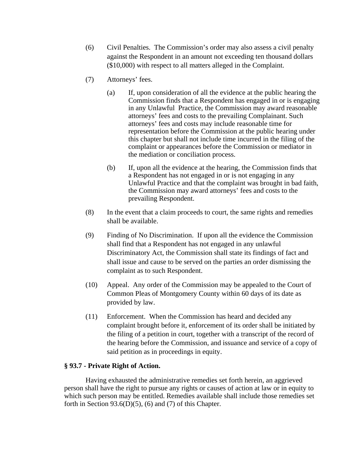- (6) Civil Penalties. The Commission's order may also assess a civil penalty against the Respondent in an amount not exceeding ten thousand dollars (\$10,000) with respect to all matters alleged in the Complaint.
- (7) Attorneys' fees.
	- (a) If, upon consideration of all the evidence at the public hearing the Commission finds that a Respondent has engaged in or is engaging in any Unlawful Practice, the Commission may award reasonable attorneys' fees and costs to the prevailing Complainant. Such attorneys' fees and costs may include reasonable time for representation before the Commission at the public hearing under this chapter but shall not include time incurred in the filing of the complaint or appearances before the Commission or mediator in the mediation or conciliation process.
	- (b) If, upon all the evidence at the hearing, the Commission finds that a Respondent has not engaged in or is not engaging in any Unlawful Practice and that the complaint was brought in bad faith, the Commission may award attorneys' fees and costs to the prevailing Respondent.
- (8) In the event that a claim proceeds to court, the same rights and remedies shall be available.
- (9) Finding of No Discrimination. If upon all the evidence the Commission shall find that a Respondent has not engaged in any unlawful Discriminatory Act, the Commission shall state its findings of fact and shall issue and cause to be served on the parties an order dismissing the complaint as to such Respondent.
- (10) Appeal. Any order of the Commission may be appealed to the Court of Common Pleas of Montgomery County within 60 days of its date as provided by law.
- (11) Enforcement. When the Commission has heard and decided any complaint brought before it, enforcement of its order shall be initiated by the filing of a petition in court, together with a transcript of the record of the hearing before the Commission, and issuance and service of a copy of said petition as in proceedings in equity.

## **§ 93.7 - Private Right of Action.**

Having exhausted the administrative remedies set forth herein, an aggrieved person shall have the right to pursue any rights or causes of action at law or in equity to which such person may be entitled. Remedies available shall include those remedies set forth in Section 93.6(D)(5), (6) and (7) of this Chapter.